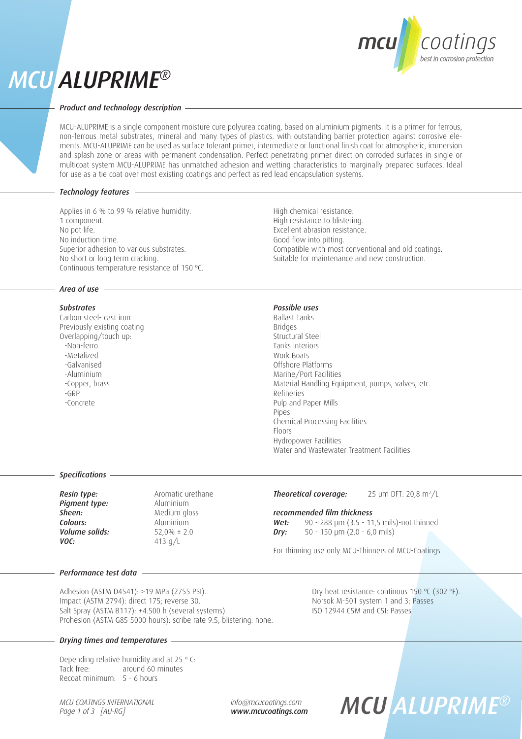## *MCU ALUPRIME®*



## *Product and technology description*

MCU-ALUPRIME is a single component moisture cure polyurea coating, based on aluminium pigments. It is a primer for ferrous, non-ferrous metal substrates, mineral and many types of plastics. with outstanding barrier protection against corrosive elements. MCU-ALUPRIME can be used as surface tolerant primer, intermediate or functional finish coat for atmospheric, immersion and splash zone or areas with permanent condensation. Perfect penetrating primer direct on corroded surfaces in single or multicoat system MCU-ALUPRIME has unmatched adhesion and wetting characteristics to marginally prepared surfaces. Ideal for use as a tie coat over most existing coatings and perfect as red lead encapsulation systems.

## *Technology features*

Applies in 6 % to 99 % relative humidity. 1 component. No pot life. No induction time. Superior adhesion to various substrates. No short or long term cracking. Continuous temperature resistance of 150 ºC.

### *Area of use*

## *Substrates*

Carbon steel- cast iron Previously existing coating Overlapping/touch up: -Non-ferro -Metalized -Galvanised -Aluminium -Copper, brass -GRP -Concrete

High chemical resistance. High resistance to blistering. Excellent abrasion resistance. Good flow into pitting. Compatible with most conventional and old coatings. Suitable for maintenance and new construction.

## *Possible uses*

Ballast Tanks Bridges Structural Steel Tanks interiors Work Boats Offshore Platforms Marine/Port Facilities Material Handling Equipment, pumps, valves, etc. Refineries Pulp and Paper Mills Pipes Chemical Processing Facilities Floors Hydropower Facilities Water and Wastewater Treatment Facilities

#### *Specifications*

| Resin type:    |
|----------------|
| Pigment type:  |
| Sheen:         |
| Colours:       |
| Volume solids: |
| VOC:           |
|                |

*Resin type:* Aromatic urethane *Pigment type:* Aluminium *Sheen:* Medium gloss *Colours:* Aluminium *Volume solids:* 52,0% ± 2.0 *VOC:* 413 g/L

#### **Theoretical coverage:** 25 µm DFT: 20,8 m<sup>2</sup>/L

*recommended film thickness*

*Wet:* 90 - 288 μm (3.5 - 11,5 mils)-not thinned *Dry:* 50 - 150 μm (2.0 - 6,0 mils)

For thinning use only MCU-Thinners of MCU-Coatings.

#### *Performance test data*

Adhesion (ASTM D4541): >19 MPa (2755 PSI). Dry heat resistance: continous 150 °C (302 °F). Impact (ASTM 2794): direct 175; reverse 30. Norsok M-501 system 1 and 3: Passes<br>Salt Spray (ASTM B117): +4.500 h (several systems). Salt Spray (ISO 12944 C5M and C5I: Passes Salt Spray (ASTM B117): +4.500 h (several systems). Prohesion (ASTM G85 5000 hours): scribe rate 9.5; blistering: none.

## *Drying times and temperatures*

Depending relative humidity and at 25 º C: Tack free: around 60 minutes Recoat minimum: 5 - 6 hours

*MCU COATINGS INTERNATIONAL Page 1 of 3 [AU-RG]*

*info@mcucoatings.com www.mcucoatings.com*

# *MCU ALUPRIME®*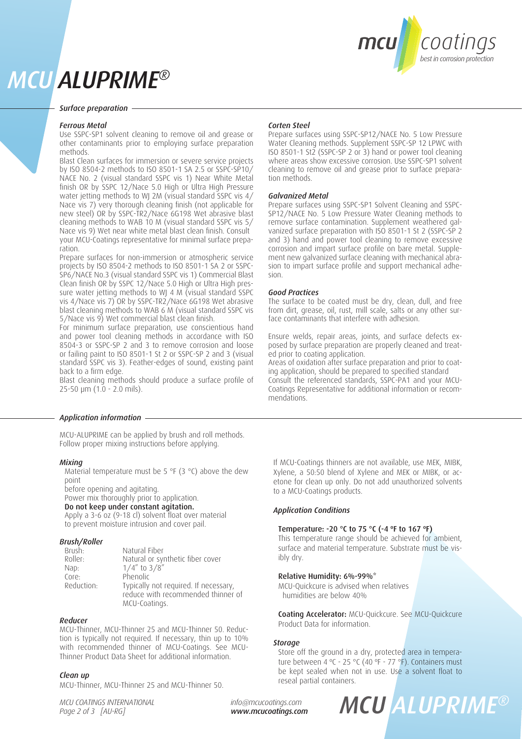

## *MCU ALUPRIME®*

#### *Surface preparation*

## *Ferrous Metal*

Use SSPC-SP1 solvent cleaning to remove oil and grease or other contaminants prior to employing surface preparation methods.

Blast Clean surfaces for immersion or severe service projects by ISO 8504-2 methods to ISO 8501-1 SA 2.5 or SSPC-SP10/ NACE No. 2 (visual standard SSPC vis 1) Near White Metal finish OR by SSPC 12/Nace 5.0 High or Ultra High Pressure water jetting methods to WJ 2M (visual standard SSPC vis 4/ Nace vis 7) very thorough cleaning finish (not applicable for new steel) OR by SSPC-TR2/Nace 6G198 Wet abrasive blast cleaning methods to WAB 10 M (visual standard SSPC vis 5/ Nace vis 9) Wet near white metal blast clean finish. Consult your MCU-Coatings representative for minimal surface preparation.

Prepare surfaces for non-immersion or atmospheric service projects by ISO 8504-2 methods to ISO 8501-1 SA 2 or SSPC-SP6/NACE No.3 (visual standard SSPC vis 1) Commercial Blast Clean finish OR by SSPC 12/Nace 5.0 High or Ultra High pressure water jetting methods to WJ 4 M (visual standard SSPC vis 4/Nace vis 7) OR by SSPC-TR2/Nace 6G198 Wet abrasive blast cleaning methods to WAB 6 M (visual standard SSPC vis 5/Nace vis 9) Wet commercial blast clean finish.

For minimum surface preparation, use conscientious hand and power tool cleaning methods in accordance with ISO 8504-3 or SSPC-SP 2 and 3 to remove corrosion and loose or failing paint to ISO 8501-1 St 2 or SSPC-SP 2 and 3 (visual standard SSPC vis 3). Feather-edges of sound, existing paint back to a firm edge.

Blast cleaning methods should produce a surface profile of 25-50 μm (1.0 - 2.0 mils).

## *Application information*

MCU-ALUPRIME can be applied by brush and roll methods. Follow proper mixing instructions before applying.

## *Mixing*

Material temperature must be 5 °F (3 °C) above the dew point

before opening and agitating.

Power mix thoroughly prior to application.

## Do not keep under constant agitation.

Apply a 3-6 oz (9-18 cl) solvent float over material to prevent moisture intrusion and cover pail.

## *Brush/Roller*

| Brush:     | Natural Fiber                         |
|------------|---------------------------------------|
| Roller:    | Natural or synthetic fiber cover      |
| Nap:       | $1/4''$ to $3/8''$                    |
| Core:      | Phenolic                              |
| Reduction: | Typically not required. If necessary, |
|            | reduce with recommended thinner of    |
|            | MCU-Coatings.                         |

#### *Reducer*

MCU-Thinner, MCU-Thinner 25 and MCU-Thinner 50. Reduction is typically not required. If necessary, thin up to 10% with recommended thinner of MCU-Coatings. See MCU-Thinner Product Data Sheet for additional information.

## *Clean up*

MCU-Thinner, MCU-Thinner 25 and MCU-Thinner 50.

*MCU COATINGS INTERNATIONAL Page 2 of 3 [AU-RG]*

*info@mcucoatings.com www.mcucoatings.com*

## *Corten Steel*

Prepare surfaces using SSPC-SP12/NACE No. 5 Low Pressure Water Cleaning methods. Supplement SSPC-SP 12 LPWC with ISO 8501-1 St2 (SSPC-SP 2 or 3) hand or power tool cleaning where areas show excessive corrosion. Use SSPC-SP1 solvent cleaning to remove oil and grease prior to surface preparation methods.

## *Galvanized Metal*

Prepare surfaces using SSPC-SP1 Solvent Cleaning and SSPC-SP12/NACE No. 5 Low Pressure Water Cleaning methods to remove surface contamination. Supplement weathered galvanized surface preparation with ISO 8501-1 St 2 (SSPC-SP 2 and 3) hand and power tool cleaning to remove excessive corrosion and impart surface profile on bare metal. Supplement new galvanized surface cleaning with mechanical abrasion to impart surface profile and support mechanical adhesion.

#### *Good Practices*

The surface to be coated must be dry, clean, dull, and free from dirt, grease, oil, rust, mill scale, salts or any other surface contaminants that interfere with adhesion.

Ensure welds, repair areas, joints, and surface defects exposed by surface preparation are properly cleaned and treated prior to coating application.

Areas of oxidation after surface preparation and prior to coating application, should be prepared to specified standard Consult the referenced standards, SSPC-PA1 and your MCU-Coatings Representative for additional information or recommendations.

If MCU-Coatings thinners are not available, use MEK, MIBK, Xylene, a 50:50 blend of Xylene and MEK or MIBK, or acetone for clean up only. Do not add unauthorized solvents to a MCU-Coatings products.

## *Application Conditions*

## Temperature: -20 °C to 75 °C (-4 ºF to 167 ºF)

This temperature range should be achieved for ambient, surface and material temperature. Substrate must be visibly dry.

## Relative Humidity: 6%-99%\*

MCU-Quickcure is advised when relatives humidities are below 40%

Coating Accelerator: MCU-Quickcure. See MCU-Quickcure Product Data for information.

## *Storage*

Store off the ground in a dry, protected area in temperature between 4 °C - 25 °C (40 °F - 77 °F). Containers must be kept sealed when not in use. Use a solvent float to reseal partial containers.

## *MCU ALUPRIME®*